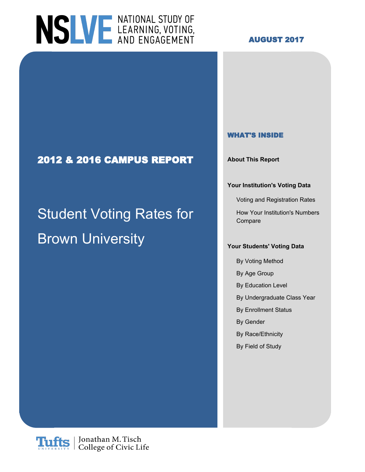

#### **AUGUST 2017**

#### **WHAT'S INSIDE**

#### **Your Institution's Voting Data**

Voting and Registration Rates

Compare

- By Voting Method
- By Age Group
- By Education Level
- By Undergraduate Class Year
- By Enrollment Status
- By Gender
- By Race/Ethnicity
- By Field of Study

#### **2012 & 2016 CAMPUS REPORT About This Report**

# Student Voting Rates for How Your Institution's Numbers **Brown University With**  $\frac{1}{2}$ *Your Students'* **Voting Data**

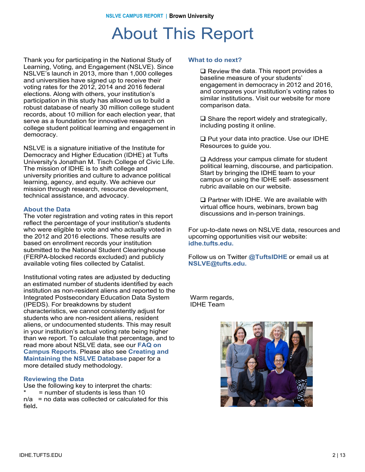### About This Report

Thank you for participating in the National Study of Learning, Voting, and Engagement (NSLVE). Since Learning, Voting, and Engagement (NSLVE). Since NSLVE's launch in 2013, more than 1,000 colleges NSLVE's launch in 2013, more than 1,000 colleges and universities have signed up to receive their and universities have signed up to receive their voting rates for the 2012, 2014 and 2016 federal voting rates for the 2012, 2014 and 2016 elections. elections. Along with others, your institution's Along with others, your institution's participation in participation in this study has allowed us to build a this study has allowed us to build a robust database robust database of nearly 30 million college student robust database or nearly 30 million college student<br>records, about 10 million for each election year, that records, about To million for each election year,<br>serve as a foundation for innovative research on serve as a foundation for innovative research<br>college student political learning and engager college student political learning and engagement in<br>domocracy democracy. democracy. Thank you for participating in the National Study of

NSLVE is a signature initiative of the Institute for Democracy and Higher Education (IDHE) at Tufts Democracy and Higher Education (IDHE) at the University's Jonathan M. Tisch College of Civic Life. Oniversity's Johanian M. Tisch College of Civic I<br>The mission of IDHE is to shift college and mic mission of IDHE is to shift college and<br>university prierities and culture to advance politic university priorities and culture to advance political<br>learning, agonov, and equity, We achieve our icarinity, agency, and equity. We achieve ou<br>mission through research, resource develop mission through research, resource development,<br>technical assistance, and advessey technical assistance, and advocacy. NSLVE is a signature initiative of the Institute for learning, agency, and equity. We achieve our

#### **About the Data**

**About the Data** The voter registration and voting rates in this report The voter registration and voting rates in this report reflect the percentage of your institution's students reflect the percentage of your institution's students who were eligible to vote and who actually voted in who were eligible to vote and who actually voted in<br>the 2012 and 2016 elections. These results are the 2012 and 2016 elections. These results are based on enrollment records your institution based on enrollment records your institution submitted to the National Student Clearinghouse submitted to the National Student Clearinghouse (FERPA-blocked records excluded) and publicly (FERPA-blocked records excluded) and publicly<br>available veting files collected by Catalist available voting files collected by Catalist. available voting files collected by Catalist.

mstitutional voting rates are adjusted by deducting<br>an estimated number of students identified by each an estimated number or students identified by each<br>institution as non-resident aliens and reported to the institution as non-resident allens and reported to the<br>Integrated Postsecondary Education Data System integrated Fostsecondary Education Data<br>(IPEDS). For breakdowns by student (in ED3). For breakdowns by student<br>characteristics, we cannot consistently adjust for characteristics, we cannot consistently adjust for<br>students who are non-resident aliens, resident students who are non-resident aliens, resident<br>aliens, or undocumented students. This may result alleris, or undocumented students. This may result<br>in your institution's actual voting rate being higher In your institution's actual voting rate being nigher<br>than we report. To calculate that percentage, and to **Reports**. read more about NSLVE data, see our **FAQ on** Please also see our NSLVE Method (insert link) for **Maintaining the NSLVE Database** paper for a **Mamtaning the NSEVE Database**<br>more detailed study methodology. Institutional voting rates are adjusted by deducting **Campus Reports**. Please also see **Creating and**

#### **Reviewing the Data Reviewing the Data**

Use the following key to interpret the charts: Use the following key to interpret the charts: \* = number of students is less than 10 \* = number of students is less than 10 n/a = no data was collected or calculated for this n/a = no data was collected or calculated for this field**.** field**.**

#### **What to do next? What to do next?**

 $\square$  Review the data. This report provides a hospital measure of vour students' baseline measure of your students' engagement in democracy in 2012 and 2016, engagement in democracy in 2012 and 2016,<br>and compares your institution's voting rates to and compares your institution's voting rates to<br>eimiler institutions. Vieit our website for mere similar institutions. Visit our website for more<br>comparison data comparison data. comparison data. baseline measure of your students'

 $\square$  Share the report widely and strategically, including posting it online.

 $\square$  Put your data into practice. Use our IDHE Resources to guide you.

 $\square$  Address your campus climate for student political learning, discourse, and participation.<br>Start by bringing the JDHE team to your political by pringing the IDHE team to your<br>compus or using the IDHE self-assessment campus or using the IDHE self- assessment<br>rubric available on our website rubric available on our website. Start by bringing the IDHE team to your

**The Partner with IDHE. We are available with IDHE.**<br>With all office bours, we binare, brown bog virtual office hours, webinars, brown bag virtual office hours, webinars, brown bag discussions and in-person trainings. discussions and in-person trainings.  $\Box$  Partner with IDHE. We are available with

r or up-to-date news on NSLVE data, resources and<br>upcoming opportunities visit our website: upcoming opportunities visit our website: upcoming opportunities visit our website:  $i$ dhe.tufts.edu. For up-to-date news on NSLVE data, resources and

**@TuftsIDHE.** Follow us on Twitter @TuftsIDHE or email us at<br>NSLVE@tufte.odu **NSLVE@tufts.edu. NSLVE@tufts.edu.**

warm regarus,<br>INHE Toom IDHE Team IDHE Team Warm regards,

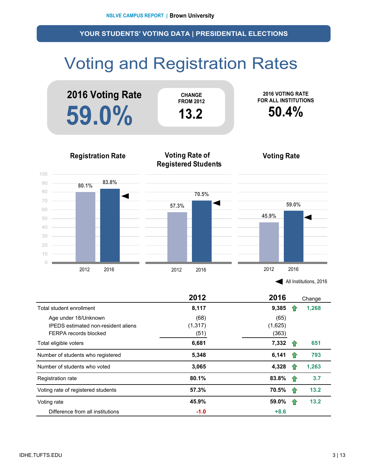# Voting and Registration Rates



| All Institutions, 2016 |  |
|------------------------|--|
|------------------------|--|

|                                            | 2012     | 2016    |     | Change |
|--------------------------------------------|----------|---------|-----|--------|
| Total student enrollment                   | 8,117    | 9,385   |     | 1,268  |
| Age under 18/Unknown                       | (68)     | (65)    |     |        |
| <b>IPEDS</b> estimated non-resident aliens | (1, 317) | (1,625) |     |        |
| FERPA records blocked                      | (51)     | (363)   |     |        |
| Total eligible voters                      | 6,681    | 7,332   | 1P  | 651    |
| Number of students who registered          | 5,348    | 6,141   | 1.  | 793    |
| Number of students who voted               | 3,065    | 4,328   |     | 1,263  |
| Registration rate                          | 80.1%    | 83.8%   | -17 | 3.7    |
| Voting rate of registered students         | 57.3%    | 70.5%   | -17 | 13.2   |
| Voting rate                                | 45.9%    | 59.0%   | 10  | 13.2   |
| Difference from all institutions           | $-1.0$   | $+8.6$  |     |        |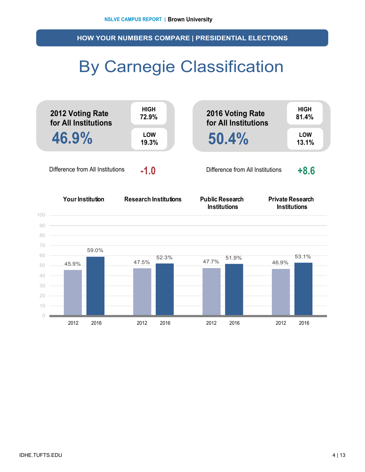**HOW YOUR NUMBERS COMPARE | PRESIDENTIAL ELECTIONS**

## By Carnegie Classification

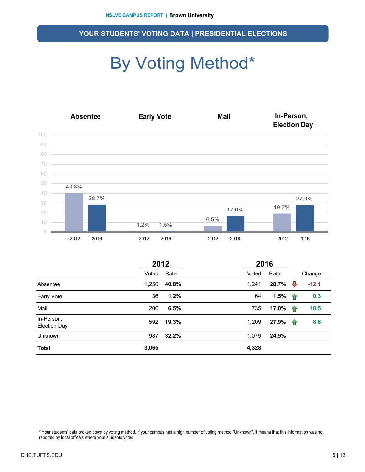# By Voting Method\*



|                                   | 2012  |       | 2016  |       |              |         |
|-----------------------------------|-------|-------|-------|-------|--------------|---------|
|                                   | Voted | Rate  | Voted | Rate  |              | Change  |
| Absentee                          | 1,250 | 40.8% | 1,241 | 28.7% | ⇩            | $-12.1$ |
| Early Vote                        | 36    | 1.2%  | 64    | 1.5%  | $\mathbf{r}$ | 0.3     |
| Mail                              | 200   | 6.5%  | 735   | 17.0% | $\hat{r}$    | 10.5    |
| In-Person,<br><b>Election Day</b> | 592   | 19.3% | 1,209 | 27.9% | $\bigcap$    | 8.6     |
| <b>Unknown</b>                    | 987   | 32.2% | 1,079 | 24.9% |              |         |
| <b>Total</b>                      | 3,065 |       | 4,328 |       |              |         |

\* Your students' data broken down by voting method. If your campus has a high number of voting method "Unknown", it means that this information was not reported by local officals where your students voted.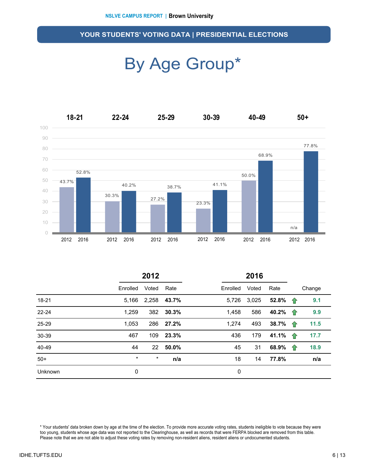### By Age Group\*



|         |          | 2012              |       |          | 2016  |         |   |        |
|---------|----------|-------------------|-------|----------|-------|---------|---|--------|
|         | Enrolled | Voted             | Rate  | Enrolled | Voted | Rate    |   | Change |
| 18-21   | 5,166    | 2,258             | 43.7% | 5,726    | 3,025 | 52.8% 个 |   | 9.1    |
| 22-24   | 1,259    | 382               | 30.3% | 1,458    | 586   | 40.2% 个 |   | 9.9    |
| 25-29   | 1,053    | 286               | 27.2% | 1,274    | 493   | 38.7% 1 |   | 11.5   |
| 30-39   | 467      | 109               | 23.3% | 436      | 179   | 41.1% 个 |   | 17.7   |
| 40-49   | 44       | $22 \overline{ }$ | 50.0% | 45       | 31    | 68.9%   | 企 | 18.9   |
| $50+$   | $\star$  | $^\star$          | n/a   | 18       | 14    | 77.8%   |   | n/a    |
| Unknown | 0        |                   |       | 0        |       |         |   |        |

\* Your students' data broken down by age at the time of the election. To provide more accurate voting rates, students ineligible to vote because they were too young, students whose age data was not reported to the Clearinghouse, as well as records that were FERPA blocked are removed from this table. Please note that we are not able to adjust these voting rates by removing non-resident aliens, resident aliens or undocumented students.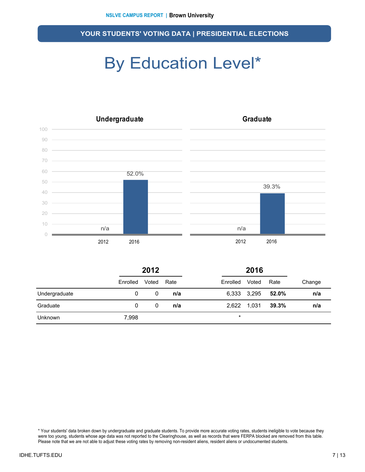## By Education Level\*



|                |          | 2012  |      |          | 2016        |       |        |
|----------------|----------|-------|------|----------|-------------|-------|--------|
|                | Enrolled | Voted | Rate | Enrolled | Voted       | Rate  | Change |
| Undergraduate  | 0        | 0     | n/a  |          | 6,333 3,295 | 52.0% | n/a    |
| Graduate       | 0        | 0     | n/a  |          | 2,622 1,031 | 39.3% | n/a    |
| <b>Unknown</b> | 7,998    |       |      | $\star$  |             |       |        |

\* Your students' data broken down by undergraduate and graduate students. To provide more accurate voting rates, students ineligible to vote because they were too young, students whose age data was not reported to the Clearinghouse, as well as records that were FERPA blocked are removed from this table. Please note that we are not able to adjust these voting rates by removing non-resident aliens, resident aliens or undocumented students.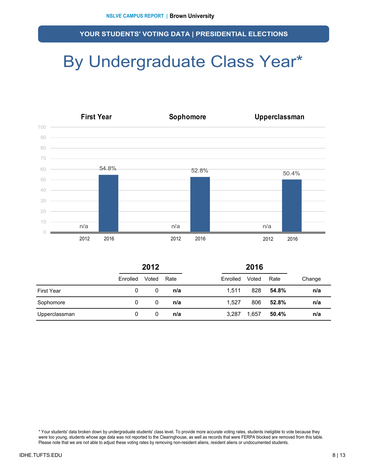### By Undergraduate Class Year\*



|                   | 2012<br>2016 |       |      |          |       |       |        |
|-------------------|--------------|-------|------|----------|-------|-------|--------|
|                   | Enrolled     | Voted | Rate | Enrolled | Voted | Rate  | Change |
| <b>First Year</b> | 0            | 0     | n/a  | 1.511    | 828   | 54.8% | n/a    |
| Sophomore         | 0            | 0     | n/a  | 1.527    | 806   | 52.8% | n/a    |
| Upperclassman     | 0            | 0     | n/a  | 3,287    | 1,657 | 50.4% | n/a    |

\* Your students' data broken down by undergraduate students' class level. To provide more accurate voting rates, students ineligible to vote because they were too young, students whose age data was not reported to the Clearinghouse, as well as records that were FERPA blocked are removed from this table. Please note that we are not able to adjust these voting rates by removing non-resident aliens, resident aliens or undocumented students.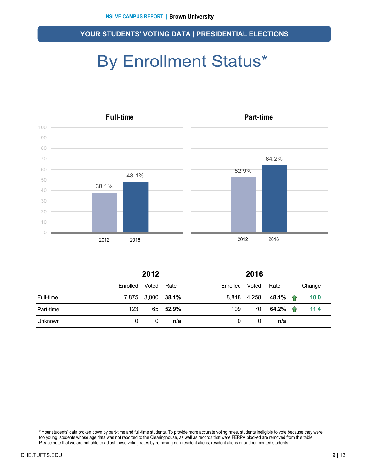# By Enrollment Status\*



|           |          | 2012              |          |          | 2016  |                              |  |        |
|-----------|----------|-------------------|----------|----------|-------|------------------------------|--|--------|
|           | Enrolled | Voted             | Rate     | Enrolled | Voted | Rate                         |  | Change |
| Full-time |          | 7,875 3,000 38.1% |          |          |       | 8,848 4,258 48.1% $\uparrow$ |  | 10.0   |
| Part-time | 123      |                   | 65 52.9% | 109      | 70    | 64.2% $\uparrow$             |  | 11.4   |
| Unknown   | 0        | 0                 | n/a      | 0        | 0     | n/a                          |  |        |

\* Your students' data broken down by part-time and full-time students. To provide more accurate voting rates, students ineligible to vote because they were too young, students whose age data was not reported to the Clearinghouse, as well as records that were FERPA blocked are removed from this table. Please note that we are not able to adjust these voting rates by removing non-resident aliens, resident aliens or undocumented students.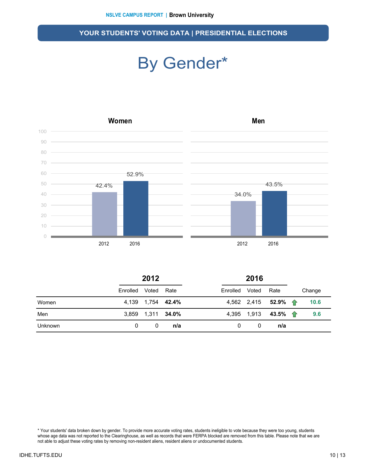### By Gender\*



|         | 2012     |                   |      |                | 2016 |                     |  |        |
|---------|----------|-------------------|------|----------------|------|---------------------|--|--------|
|         | Enrolled | Voted             | Rate | Enrolled Voted |      | Rate                |  | Change |
| Women   |          | 4,139 1,754 42.4% |      |                |      | 4,562 2,415 52.9% 个 |  | 10.6   |
| Men     |          | 3,859 1,311 34.0% |      |                |      | 4,395 1,913 43.5% 个 |  | 9.6    |
| Unknown | 0        | 0                 | n/a  | 0              | 0    | n/a                 |  |        |

\* Your students' data broken down by gender. To provide more accurate voting rates, students ineligible to vote because they were too young, students whose age data was not reported to the Clearinghouse, as well as records that were FERPA blocked are removed from this table. Please note that we are not able to adjust these voting rates by removing non-resident aliens, resident aliens or undocumented students.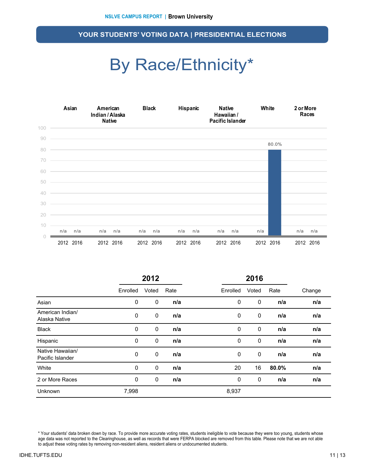### By Race/Ethnicity\*



|                                      |                  | 2012        |      |          | 2016        |       |        |
|--------------------------------------|------------------|-------------|------|----------|-------------|-------|--------|
|                                      | Enrolled         | Voted       | Rate | Enrolled | Voted       | Rate  | Change |
| Asian                                | 0                | 0           | n/a  | 0        | $\mathbf 0$ | n/a   | n/a    |
| American Indian/<br>Alaska Native    | 0                | 0           | n/a  | 0        | $\mathbf 0$ | n/a   | n/a    |
| <b>Black</b>                         | 0                | 0           | n/a  | 0        | $\mathbf 0$ | n/a   | n/a    |
| Hispanic                             | 0                | 0           | n/a  | 0        | 0           | n/a   | n/a    |
| Native Hawaiian/<br>Pacific Islander | $\boldsymbol{0}$ | $\mathbf 0$ | n/a  | 0        | $\mathbf 0$ | n/a   | n/a    |
| White                                | 0                | 0           | n/a  | 20       | 16          | 80.0% | n/a    |
| 2 or More Races                      | 0                | 0           | n/a  | 0        | $\mathbf 0$ | n/a   | n/a    |
| Unknown                              | 7,998            |             |      | 8,937    |             |       |        |

\* Your students' data broken down by race. To provide more accurate voting rates, students ineligible to vote because they were too young, students whose age data was not reported to the Clearinghouse, as well as records that were FERPA blocked are removed from this table. Please note that we are not able to adjust these voting rates by removing non-resident aliens, resident aliens or undocumented students.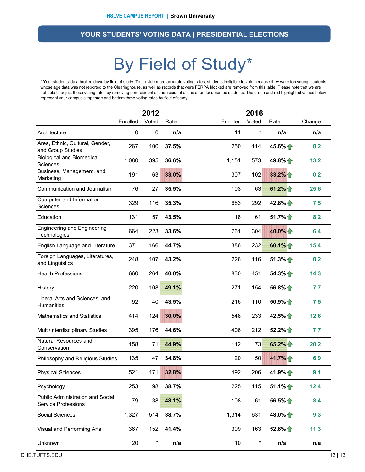### By Field of Study\*

\* Your students' data broken down by field of study. To provide more accurate voting rates, students ineligible to vote because they were too young, students whose age data was not reported to the Clearinghouse, as well as records that were FERPA blocked are removed from this table. Please note that we are not able to adjust these voting rates by removing non-resident aliens, resident aliens or undocumented students. The green and red highlighted values below represent your campus's top three and bottom three voting rates by field of study.

|                                                                       |          | 2012      |       |          | 2016    |                   |        |
|-----------------------------------------------------------------------|----------|-----------|-------|----------|---------|-------------------|--------|
|                                                                       | Enrolled | Voted     | Rate  | Enrolled | Voted   | Rate              | Change |
| Architecture                                                          | 0        | $\pmb{0}$ | n/a   | 11       | $\star$ | n/a               | n/a    |
| Area, Ethnic, Cultural, Gender,<br>and Group Studies                  | 267      | 100       | 37.5% | 250      | 114     | 45.6% 个           | 8.2    |
| <b>Biological and Biomedical</b><br>Sciences                          | 1,080    | 395       | 36.6% | 1,151    | 573     | 49.8% 1           | 13.2   |
| Business, Management, and<br>Marketing                                | 191      | 63        | 33.0% | 307      | 102     | $33.2\%$          | 0.2    |
| Communication and Journalism                                          | 76       | 27        | 35.5% | 103      | 63      | 61.2% $\uparrow$  | 25.6   |
| Computer and Information<br>Sciences                                  | 329      | 116       | 35.3% | 683      | 292     | 42.8% $\bigcap$   | 7.5    |
| Education                                                             | 131      | 57        | 43.5% | 118      | 61      | 51.7%             | 8.2    |
| <b>Engineering and Engineering</b><br>Technologies                    | 664      | 223       | 33.6% | 761      | 304     | 40.0%             | 6.4    |
| English Language and Literature                                       | 371      | 166       | 44.7% | 386      | 232     | 60.1% $\uparrow$  | 15.4   |
| Foreign Languages, Literatures,<br>and Linguistics                    | 248      | 107       | 43.2% | 226      | 116     | $51.3\%$          | 8.2    |
| <b>Health Professions</b>                                             | 660      | 264       | 40.0% | 830      | 451     | $54.3\%$          | 14.3   |
| History                                                               | 220      | 108       | 49.1% | 271      | 154     | 56.8%             | 7.7    |
| Liberal Arts and Sciences, and<br>Humanities                          | 92       | 40        | 43.5% | 216      | 110     | 50.9%             | 7.5    |
| <b>Mathematics and Statistics</b>                                     | 414      | 124       | 30.0% | 548      | 233     | 42.5% 个           | 12.6   |
| Multi/Interdisciplinary Studies                                       | 395      | 176       | 44.6% | 406      | 212     | 52.2%             | 7.7    |
| Natural Resources and<br>Conservation                                 | 158      | 71        | 44.9% | 112      | 73      | 65.2%             | 20.2   |
| Philosophy and Religious Studies                                      | 135      | 47        | 34.8% | 120      | 50      | 41.7%             | 6.9    |
| <b>Physical Sciences</b>                                              | 521      | 171       | 32.8% | 492      | 206     | 41.9% 个           | 9.1    |
| Psychology                                                            | 253      | 98        | 38.7% | 225      | 115     | 51.1% $\bigoplus$ | 12.4   |
| <b>Public Administration and Social</b><br><b>Service Professions</b> | 79       | 38        | 48.1% | 108      | 61      | 56.5%             | 8.4    |
| Social Sciences                                                       | 1,327    | 514       | 38.7% | 1,314    | 631     | 48.0% 个           | 9.3    |
| Visual and Performing Arts                                            | 367      | 152       | 41.4% | 309      | 163     | 52.8%             | 11.3   |
| Unknown                                                               | 20       | $\star$   | n/a   | 10       | $\ast$  | n/a               | n/a    |